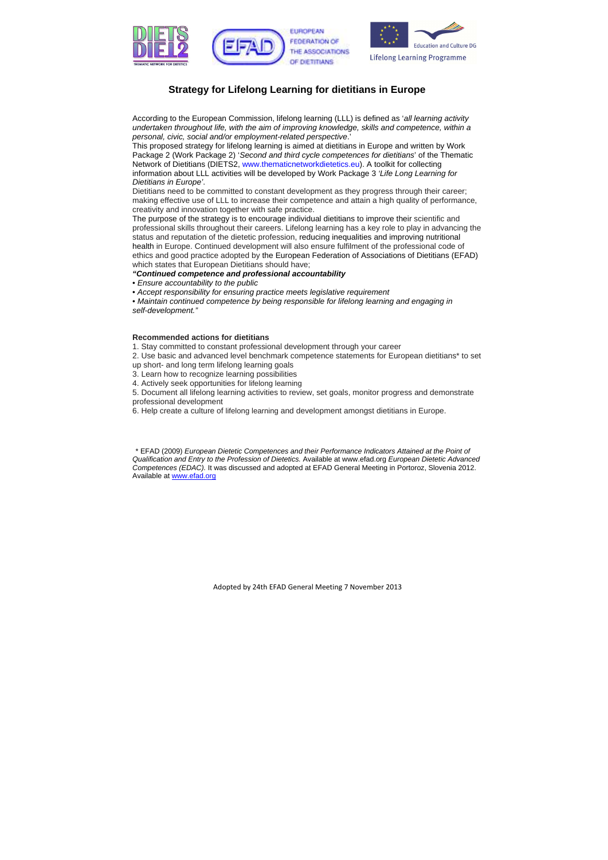





## **Strategy for Lifelong Learning for dietitians in Europe**

According to the European Commission, lifelong learning (LLL) is defined as '*all learning activity undertaken throughout life, with the aim of improving knowledge, skills and competence, within a personal, civic, social and/or employment-related perspective*.'

The purpose of the strategy is to encourage individual dietitians to improve their scientific and professional skills throughout their careers. Lifelong learning has a key role to play in advancing the status and reputation of the dietetic profession, reducing inequalities and improving nutritional health in Europe. Continued development will also ensure fulfilment of the professional code of ethics and good practice adopted by the European Federation of Associations of Dietitians (EFAD) which states that European Dietitians should have;

This proposed strategy for lifelong learning is aimed at dietitians in Europe and written by Work Package 2 (Work Package 2) '*Second and third cycle competences for dietitians*' of the Thematic Network of Dietitians (DIETS2, www.thematicnetworkdietetics.eu). A toolkit for collecting information about LLL activities will be developed by Work Package 3 *'Life Long Learning for Dietitians in Europe'*.

Dietitians need to be committed to constant development as they progress through their career; making effective use of LLL to increase their competence and attain a high quality of performance, creativity and innovation together with safe practice.

\* EFAD (2009) *European Dietetic Competences and their Performance Indicators Attained at the Point of Qualification and Entry to the Profession of Dietetics.* Available at www.efad.org *European Dietetic Advanced Competences (EDAC).* It was discussed and adopted at EFAD General Meeting in Portoroz, Slovenia 2012. Available at www.efad.org

*"Continued competence and professional accountability* 

• *Ensure accountability to the public* 

• *Accept responsibility for ensuring practice meets legislative requirement* 

• *Maintain continued competence by being responsible for lifelong learning and engaging in self-development."* 

## **Recommended actions for dietitians**

1. Stay committed to constant professional development through your career

2. Use basic and advanced level benchmark competence statements for European dietitians\* to set

- up short- and long term lifelong learning goals
- 3. Learn how to recognize learning possibilities
- 4. Actively seek opportunities for lifelong learning

5. Document all lifelong learning activities to review, set goals, monitor progress and demonstrate professional development

6. Help create a culture of lifelong learning and development amongst dietitians in Europe.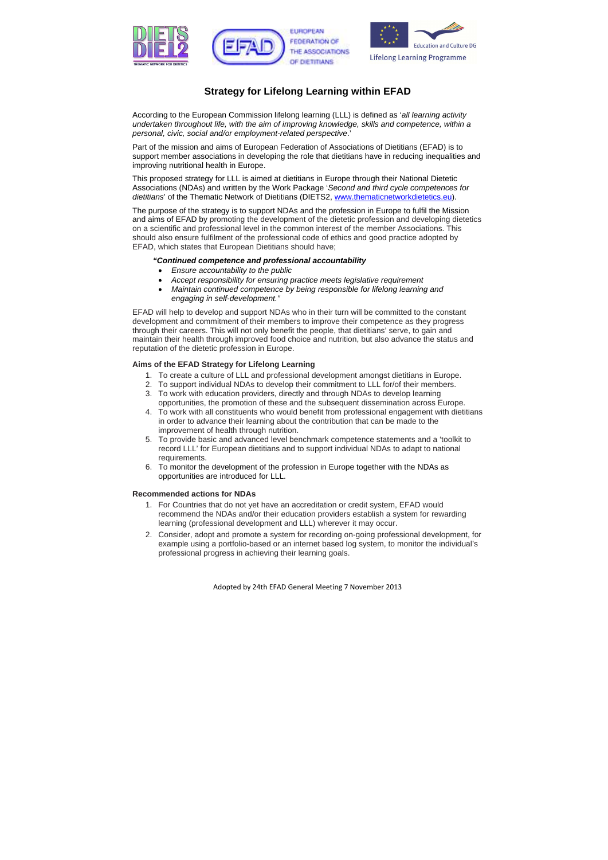





# **Strategy for Lifelong Learning within EFAD**

According to the European Commission lifelong learning (LLL) is defined as '*all learning activity undertaken throughout life, with the aim of improving knowledge, skills and competence, within a personal, civic, social and/or employment-related perspective*.'

Part of the mission and aims of European Federation of Associations of Dietitians (EFAD) is to support member associations in developing the role that dietitians have in reducing inequalities and improving nutritional health in Europe.

This proposed strategy for LLL is aimed at dietitians in Europe through their National Dietetic Associations (NDAs) and written by the Work Package '*Second and third cycle competences for dietitians*' of the Thematic Network of Dietitians (DIETS2, www.thematicnetworkdietetics.eu).

The purpose of the strategy is to support NDAs and the profession in Europe to fulfil the Mission and aims of EFAD by promoting the development of the dietetic profession and developing dietetics on a scientific and professional level in the common interest of the member Associations. This should also ensure fulfilment of the professional code of ethics and good practice adopted by EFAD, which states that European Dietitians should have;

#### *"Continued competence and professional accountability*

- *Ensure accountability to the public*
- *Accept responsibility for ensuring practice meets legislative requirement*
- *Maintain continued competence by being responsible for lifelong learning and engaging in self-development."*

EFAD will help to develop and support NDAs who in their turn will be committed to the constant development and commitment of their members to improve their competence as they progress through their careers. This will not only benefit the people, that dietitians' serve, to gain and maintain their health through improved food choice and nutrition, but also advance the status and reputation of the dietetic profession in Europe.

## **Aims of the EFAD Strategy for Lifelong Learning**

- 1. To create a culture of LLL and professional development amongst dietitians in Europe.
- 2. To support individual NDAs to develop their commitment to LLL for/of their members.
- 3. To work with education providers, directly and through NDAs to develop learning opportunities, the promotion of these and the subsequent dissemination across Europe.
- 4. To work with all constituents who would benefit from professional engagement with dietitians in order to advance their learning about the contribution that can be made to the improvement of health through nutrition.
- 5. To provide basic and advanced level benchmark competence statements and a 'toolkit to record LLL' for European dietitians and to support individual NDAs to adapt to national requirements.
- 6. To monitor the development of the profession in Europe together with the NDAs as opportunities are introduced for LLL.

## **Recommended actions for NDAs**

- 1. For Countries that do not yet have an accreditation or credit system, EFAD would recommend the NDAs and/or their education providers establish a system for rewarding learning (professional development and LLL) wherever it may occur.
- 2. Consider, adopt and promote a system for recording on-going professional development, for example using a portfolio-based or an internet based log system, to monitor the individual's professional progress in achieving their learning goals.